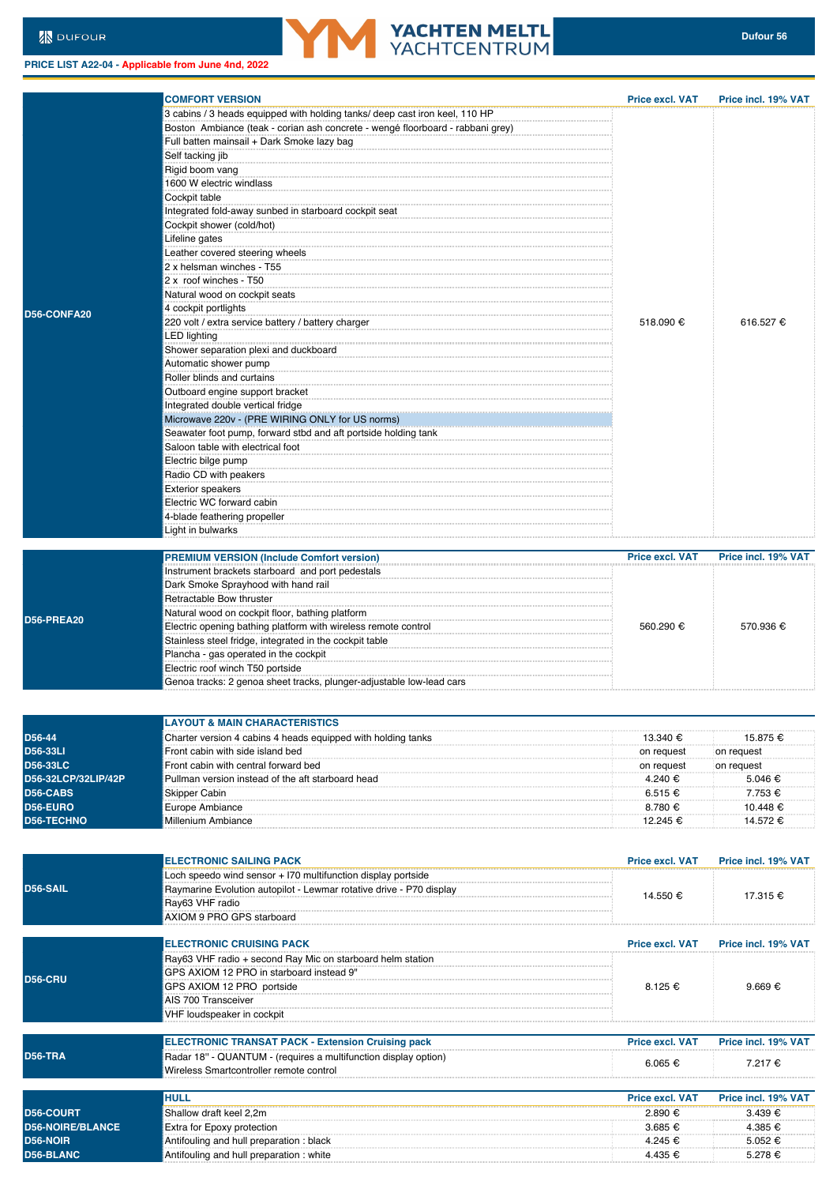**PRICE LIST A22-04 - Applicable from June 4nd, 2022**

**Extra for Epoxy protection** 



|                         | <b>COMFORT VERSION</b>                                                         | <b>Price excl. VAT</b> | <b>Price incl. 19% VAT</b> |
|-------------------------|--------------------------------------------------------------------------------|------------------------|----------------------------|
|                         | 3 cabins / 3 heads equipped with holding tanks/ deep cast iron keel, 110 HP    |                        |                            |
|                         | Boston Ambiance (teak - corian ash concrete - wengé floorboard - rabbani grey) |                        |                            |
|                         | Full batten mainsail + Dark Smoke lazy bag                                     |                        | 616.527 €                  |
|                         | Self tacking jib                                                               |                        |                            |
|                         | Rigid boom vang                                                                |                        |                            |
|                         | 1600 W electric windlass                                                       |                        |                            |
|                         | Cockpit table                                                                  |                        |                            |
|                         | Integrated fold-away sunbed in starboard cockpit seat                          |                        |                            |
|                         | Cockpit shower (cold/hot)                                                      |                        |                            |
|                         | Lifeline gates                                                                 |                        |                            |
|                         | Leather covered steering wheels                                                |                        |                            |
|                         | 2 x helsman winches - T55                                                      |                        |                            |
|                         | 2 x roof winches - T50                                                         |                        |                            |
|                         | Natural wood on cockpit seats                                                  |                        |                            |
| D56-CONFA20             | 4 cockpit portlights                                                           |                        |                            |
|                         | 220 volt / extra service battery / battery charger                             | 518.090 €              |                            |
|                         | <b>LED</b> lighting                                                            |                        |                            |
|                         | Shower separation plexi and duckboard                                          |                        |                            |
|                         | Automatic shower pump                                                          |                        |                            |
|                         | Roller blinds and curtains                                                     |                        |                            |
|                         | Outboard engine support bracket                                                |                        |                            |
|                         | Integrated double vertical fridge                                              |                        |                            |
|                         | Microwave 220v - (PRE WIRING ONLY for US norms)                                |                        |                            |
|                         | Seawater foot pump, forward stbd and aft portside holding tank                 |                        |                            |
|                         | Saloon table with electrical foot                                              |                        |                            |
|                         | Electric bilge pump                                                            |                        |                            |
|                         | Radio CD with peakers                                                          |                        |                            |
|                         | <b>Exterior speakers</b>                                                       |                        |                            |
|                         | Electric WC forward cabin                                                      |                        |                            |
|                         | 4-blade feathering propeller                                                   |                        |                            |
|                         | Light in bulwarks                                                              |                        |                            |
|                         |                                                                                |                        |                            |
|                         | <b>PREMIUM VERSION (Include Comfort version)</b>                               | <b>Price excl. VAT</b> | Price incl. 19% VAT        |
|                         | Instrument brackets starboard and port pedestals                               |                        |                            |
|                         | Dark Smoke Sprayhood with hand rail                                            |                        | 570.936 €                  |
|                         | Retractable Bow thruster                                                       |                        |                            |
|                         | Natural wood on cockpit floor, bathing platform                                |                        |                            |
| <b>D56-PREA20</b>       | Electric opening bathing platform with wireless remote control                 | 560.290 €              |                            |
|                         | Stainless steel fridge, integrated in the cockpit table                        |                        |                            |
|                         | Plancha - gas operated in the cockpit                                          |                        |                            |
|                         | Electric roof winch T50 portside                                               |                        |                            |
|                         | Genoa tracks: 2 genoa sheet tracks, plunger-adjustable low-lead cars           |                        |                            |
|                         |                                                                                |                        |                            |
|                         |                                                                                |                        |                            |
|                         | <b>LAYOUT &amp; MAIN CHARACTERISTICS</b>                                       |                        |                            |
| D56-44                  | Charter version 4 cabins 4 heads equipped with holding tanks                   | 13.340 €               | 15.875 €                   |
| <b>D56-33LI</b>         | Front cabin with side island bed                                               | on request             | on request                 |
| <b>D56-33LC</b>         | Front cabin with central forward bed                                           | on request             | on request                 |
| D56-32LCP/32LIP/42P     | Pullman version instead of the aft starboard head                              | 4.240 €                | 5.046 €                    |
| D56-CABS                | Skipper Cabin                                                                  | $6.515 \in$            | 7.753 €                    |
| D56-EURO                | Europe Ambiance                                                                | 8.780 €                | 10.448 €                   |
| <b>D56-TECHNO</b>       | Millenium Ambiance                                                             | 12.245 €               | 14.572 €                   |
|                         |                                                                                |                        |                            |
|                         |                                                                                |                        |                            |
|                         | <b>ELECTRONIC SAILING PACK</b>                                                 | <b>Price excl. VAT</b> | Price incl. 19% VAT        |
|                         | Loch speedo wind sensor + 170 multifunction display portside                   |                        |                            |
| D56-SAIL                | Raymarine Evolution autopilot - Lewmar rotative drive - P70 display            |                        |                            |
|                         | Ray63 VHF radio                                                                | 14.550 €               | 17.315 €                   |
|                         | AXIOM 9 PRO GPS starboard                                                      |                        |                            |
|                         |                                                                                |                        |                            |
|                         | <b>ELECTRONIC CRUISING PACK</b>                                                | <b>Price excl. VAT</b> | Price incl. 19% VAT        |
|                         | Ray63 VHF radio + second Ray Mic on starboard helm station                     |                        |                            |
|                         | GPS AXIOM 12 PRO in starboard instead 9"                                       |                        |                            |
| <b>D56-CRU</b>          | GPS AXIOM 12 PRO portside                                                      | 8.125 €                | $9.669 \in$                |
|                         | AIS 700 Transceiver                                                            |                        |                            |
|                         | VHF loudspeaker in cockpit                                                     |                        |                            |
|                         |                                                                                |                        |                            |
|                         | <b>ELECTRONIC TRANSAT PACK - Extension Cruising pack</b>                       | <b>Price excl. VAT</b> | Price incl. 19% VAT        |
| <b>D56-TRA</b>          | Radar 18" - QUANTUM - (requires a multifunction display option)                |                        |                            |
|                         | Wireless Smartcontroller remote control                                        | 6.065 €                | 7.217 €                    |
|                         |                                                                                |                        |                            |
|                         | <b>HULL</b>                                                                    | <b>Price excl. VAT</b> | Price incl. 19% VAT        |
| <b>D56-COURT</b>        | Shallow draft keel 2,2m                                                        | 2.890 €                | 3.439 €                    |
| <b>D56-NOIRE/BLANCE</b> | Extra for Epoxy protection                                                     | 3.685 €                | 4.385 €                    |
|                         |                                                                                |                        |                            |

**YACHTEN MELTL**<br>YACHTCENTRUM

**D56-NOIR** Antifouling and hull preparation : black 4.245 € 5.052 € 5.052 € 5.052 € 5.052 € 5.052 € 5.052 € 5.278 € 5.278 € 5.278 € 5.278 € 5.278 € 5.278 € 5.278 € 5.278 € 5.278 € 5.278 € 5.278 € 5.278 € 5.278 € 5.278 € 5 **DEFINITION** Antifouling and hull preparation : white 4.435 €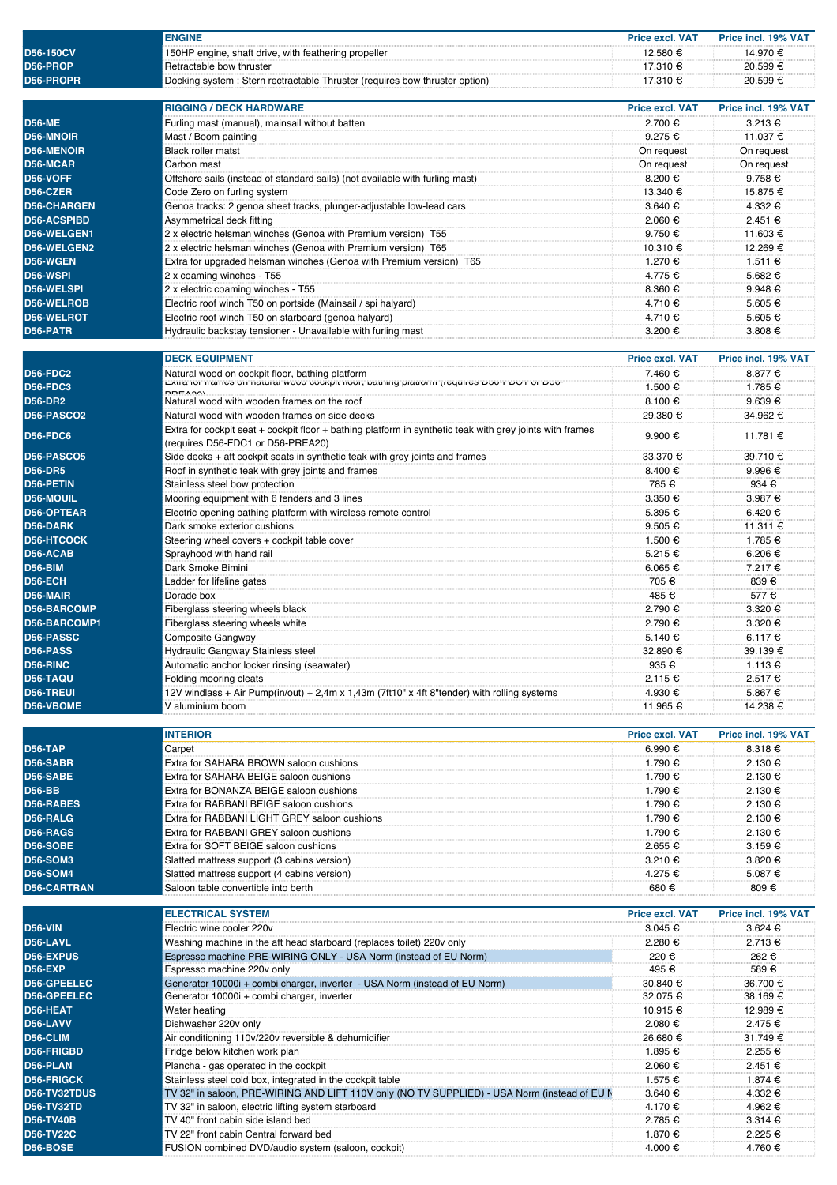| <b>D56-150CV</b>   | <b>ENGINE</b>                                                                                                                                                          | <b>Price excl. VAT</b> | Price incl. 19% VAT |
|--------------------|------------------------------------------------------------------------------------------------------------------------------------------------------------------------|------------------------|---------------------|
|                    | 150HP engine, shaft drive, with feathering propeller                                                                                                                   | 12.580 €               | 14.970 €            |
| D56-PROP           | Retractable bow thruster                                                                                                                                               | 17.310 €               | 20.599 €            |
| D56-PROPR          | Docking system : Stern rectractable Thruster (requires bow thruster option)                                                                                            | 17.310 €               | 20.599 €            |
|                    |                                                                                                                                                                        |                        |                     |
|                    | <b>RIGGING / DECK HARDWARE</b>                                                                                                                                         | <b>Price excl. VAT</b> | Price incl. 19% VAT |
| <b>D56-ME</b>      | Furling mast (manual), mainsail without batten                                                                                                                         | 2.700 €                | 3.213 €             |
| <b>D56-MNOIR</b>   | Mast / Boom painting                                                                                                                                                   | 9.275 €                | 11.037 €            |
| <b>D56-MENOIR</b>  | <b>Black roller matst</b>                                                                                                                                              | On request             | On request          |
| D56-MCAR           | Carbon mast                                                                                                                                                            | On request             | On request          |
| D56-VOFF           | Offshore sails (instead of standard sails) (not available with furling mast)                                                                                           | 8.200 €                | 9.758 €             |
| D56-CZER           | Code Zero on furling system                                                                                                                                            | 13.340 €               | 15.875 €            |
| <b>D56-CHARGEN</b> | Genoa tracks: 2 genoa sheet tracks, plunger-adjustable low-lead cars                                                                                                   | 3.640 €                | 4.332 €             |
| <b>D56-ACSPIBD</b> | Asymmetrical deck fitting                                                                                                                                              | 2.060 €                | 2.451 €             |
| D56-WELGEN1        | 2 x electric helsman winches (Genoa with Premium version) T55                                                                                                          | 9.750 €                | 11.603 €            |
| D56-WELGEN2        | 2 x electric helsman winches (Genoa with Premium version) T65                                                                                                          | 10.310 €               | 12.269 €            |
| D56-WGEN           | Extra for upgraded helsman winches (Genoa with Premium version) T65                                                                                                    | 1.270 €                | 1.511 €             |
| D56-WSPI           | 2 x coaming winches - T55                                                                                                                                              | 4.775 €                | 5.682 €             |
| <b>D56-WELSPI</b>  | 2 x electric coaming winches - T55                                                                                                                                     | 8.360 €                | 9.948 €             |
| <b>D56-WELROB</b>  | Electric roof winch T50 on portside (Mainsail / spi halyard)                                                                                                           | 4.710 €                | 5.605 €             |
| <b>D56-WELROT</b>  | Electric roof winch T50 on starboard (genoa halyard)                                                                                                                   | 4.710 €                | 5.605 €             |
| D56-PATR           |                                                                                                                                                                        |                        |                     |
|                    | Hydraulic backstay tensioner - Unavailable with furling mast                                                                                                           | 3.200 €                | 3.808 €             |
|                    |                                                                                                                                                                        |                        |                     |
|                    | <b>DECK EQUIPMENT</b>                                                                                                                                                  | <b>Price excl. VAT</b> | Price incl. 19% VAT |
| <b>D56-FDC2</b>    | .<br>Natural wood on cockpit floor, bathing platform<br>באמצו וסיד שטרידופט איז וואס איז א איז א איז א א דער איז א א דער איז א דער איז א דער איז א דער איז א דער דער ז | 7.460 €                | 8.877 €             |
| <b>D56-FDC3</b>    |                                                                                                                                                                        | 1.500 €                | 1.785 €             |
| <b>D56-DR2</b>     | Natural wood with wooden frames on the roof                                                                                                                            | 8.100 €                | 9.639 €             |
| D56-PASCO2         | Natural wood with wooden frames on side decks                                                                                                                          | 29.380 €               | 34.962 €            |
| <b>D56-FDC6</b>    | Extra for cockpit seat + cockpit floor + bathing platform in synthetic teak with grey joints with frames                                                               | 9.900 €                | 11.781 €            |
|                    | (requires D56-FDC1 or D56-PREA20)                                                                                                                                      |                        |                     |
| D56-PASCO5         | Side decks + aft cockpit seats in synthetic teak with grey joints and frames                                                                                           | 33.370 €               | 39.710 €            |
| <b>D56-DR5</b>     | Roof in synthetic teak with grey joints and frames                                                                                                                     | 8.400 €                | 9.996 €             |
| D56-PETIN          | Stainless steel bow protection                                                                                                                                         | 785 €                  | 934 €               |
| D56-MOUIL          | Mooring equipment with 6 fenders and 3 lines                                                                                                                           | 3.350 €                | 3.987 €             |
| <b>D56-OPTEAR</b>  | Electric opening bathing platform with wireless remote control                                                                                                         | 5.395 €                | 6.420 €             |
| D56-DARK           | Dark smoke exterior cushions                                                                                                                                           | 9.505 €                | 11.311 €            |
| <b>D56-HTCOCK</b>  | Steering wheel covers + cockpit table cover                                                                                                                            | 1.500 €                | 1.785 €             |
| D56-ACAB           | Sprayhood with hand rail                                                                                                                                               | 5.215 €                | 6.206 €             |
| <b>D56-BIM</b>     | Dark Smoke Bimini                                                                                                                                                      | 6.065 €                | 7.217 €             |
| D56-ECH            | Ladder for lifeline gates                                                                                                                                              | 705 €                  | 839 €               |
| D56-MAIR           | Dorade box                                                                                                                                                             | 485 €                  | 577€                |
| <b>D56-BARCOMP</b> | Fiberglass steering wheels black                                                                                                                                       | 2.790 €                | 3.320 €             |
| D56-BARCOMP1       | Fiberglass steering wheels white                                                                                                                                       | 2.790 €                | 3.320 €             |
| D56-PASSC          | Composite Gangway                                                                                                                                                      | 5.140 €                | 6.117 €             |
| D56-PASS           | Hydraulic Gangway Stainless steel                                                                                                                                      | 32.890 €               | 39.139 €            |
| D56-RINC           | Automatic anchor locker rinsing (seawater)                                                                                                                             | 935€                   | 1.113 €             |
| D56-TAQU           | Folding mooring cleats                                                                                                                                                 | 2.115 €                | 2.517 €             |
| <b>D56-TREUI</b>   | 12V windlass + Air Pump(in/out) + 2,4m x 1,43m (7ft10" x 4ft 8"tender) with rolling systems                                                                            | 4.930 €                | 5.867 €             |
| D56-VBOME          | V aluminium boom                                                                                                                                                       |                        |                     |
|                    |                                                                                                                                                                        |                        |                     |
|                    |                                                                                                                                                                        | 11.965 €               | 14.238 €            |
|                    |                                                                                                                                                                        |                        |                     |
|                    | <b>INTERIOR</b>                                                                                                                                                        | <b>Price excl. VAT</b> | Price incl. 19% VAT |
| <b>D56-TAP</b>     | Carpet                                                                                                                                                                 | 6.990 €                | 8.318 €             |
| D56-SABR           | Extra for SAHARA BROWN saloon cushions                                                                                                                                 | 1.790 €                | 2.130 €             |
| D56-SABE           | Extra for SAHARA BEIGE saloon cushions                                                                                                                                 | 1.790 €                | 2.130 €             |
| <b>D56-BB</b>      | Extra for BONANZA BEIGE saloon cushions                                                                                                                                | 1.790 €                | 2.130 €             |
| D56-RABES          | Extra for RABBANI BEIGE saloon cushions                                                                                                                                | 1.790 €                | 2.130 €             |
| D56-RALG           | Extra for RABBANI LIGHT GREY saloon cushions                                                                                                                           | 1.790 €                | 2.130 €             |
| D56-RAGS           | Extra for RABBANI GREY saloon cushions                                                                                                                                 | 1.790 €                | 2.130 €             |
| <b>D56-SOBE</b>    | Extra for SOFT BEIGE saloon cushions                                                                                                                                   | 2.655 €                | 3.159 €             |
| <b>D56-SOM3</b>    | Slatted mattress support (3 cabins version)                                                                                                                            | 3.210 €                | 3.820 €             |
| <b>D56-SOM4</b>    | Slatted mattress support (4 cabins version)                                                                                                                            | 4.275 €                | 5.087 €             |
| <b>D56-CARTRAN</b> | Saloon table convertible into berth                                                                                                                                    | 680€                   | 809€                |
|                    |                                                                                                                                                                        |                        |                     |
|                    | <b>ELECTRICAL SYSTEM</b>                                                                                                                                               | <b>Price excl. VAT</b> | Price incl. 19% VAT |
| <b>D56-VIN</b>     | Electric wine cooler 220v                                                                                                                                              | $3.045 \in$            | 3.624 €             |
| D56-LAVL           | Washing machine in the aft head starboard (replaces toilet) 220v only                                                                                                  | 2.280 €                | 2.713 €             |
| <b>D56-EXPUS</b>   | Espresso machine PRE-WIRING ONLY - USA Norm (instead of EU Norm)                                                                                                       | 220 €                  | 262 €               |
| <b>D56-EXP</b>     | Espresso machine 220v only                                                                                                                                             | 495 €                  | 589 €               |
| <b>D56-GPEELEC</b> | Generator 10000i + combi charger, inverter - USA Norm (instead of EU Norm)                                                                                             | 30.840 €               | 36.700 €            |
| D56-GPEELEC        | Generator 10000i + combi charger, inverter                                                                                                                             | 32.075 €               | 38.169 €            |
| D56-HEAT           | Water heating                                                                                                                                                          | 10.915 €               | 12.989 €            |
| D56-LAVV           | Dishwasher 220v only                                                                                                                                                   | 2.080 €                | 2.475 €             |
| D56-CLIM           | Air conditioning 110v/220v reversible & dehumidifier                                                                                                                   | 26.680 €               | 31.749 €            |
| D56-FRIGBD         | Fridge below kitchen work plan                                                                                                                                         | 1.895 €                | 2.255 €             |
| D56-PLAN           | Plancha - gas operated in the cockpit                                                                                                                                  | 2.060 €                | 2.451 €             |
| <b>D56-FRIGCK</b>  | Stainless steel cold box, integrated in the cockpit table                                                                                                              | 1.575 €                | 1.874 €             |
| D56-TV32TDUS       | TV 32" in saloon, PRE-WIRING AND LIFT 110V only (NO TV SUPPLIED) - USA Norm (instead of EU N                                                                           | 3.640 €                | 4.332 €             |
| <b>D56-TV32TD</b>  | TV 32" in saloon, electric lifting system starboard                                                                                                                    | 4.170 €                | 4.962 €             |
| <b>D56-TV40B</b>   | TV 40" front cabin side island bed                                                                                                                                     | 2.785 €                | 3.314 €             |
| <b>D56-TV22C</b>   | TV 22" front cabin Central forward bed                                                                                                                                 | 1.870 €                | 2.225 €             |